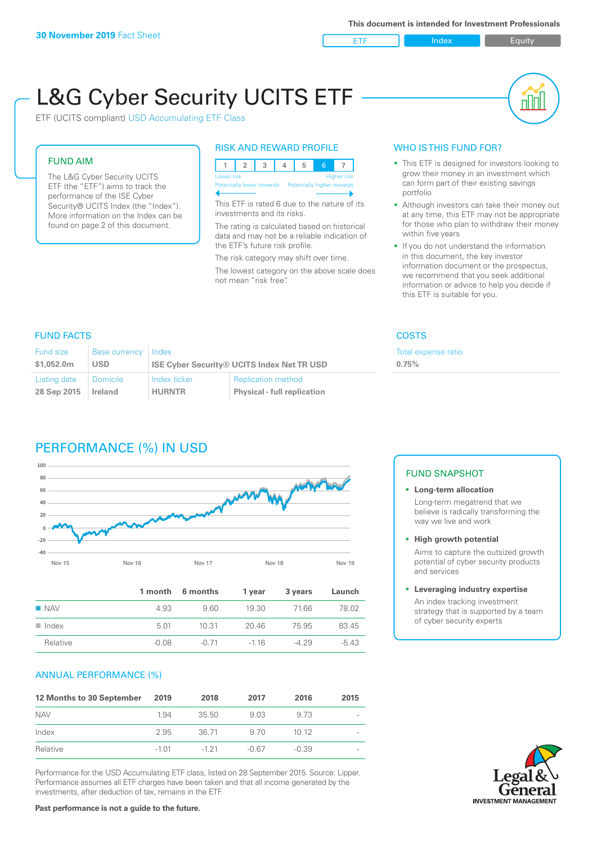ETF Index Buity

nN

# L&G Cyber Security UCITS ETF

ETF (UCITS compliant) USD Accumulating ETF Class

#### FUND AIM

The L&G Cyber Security UCITS ETF (the "ETF") aims to track the performance of the ISE Cyber Security® UCITS Index (the "Index"). More information on the Index can be found on page 2 of this document.

#### RISK AND REWARD PROFILE

| Lower risk<br>Higher risk |  |  |  |                                                      |  |  |  |  |
|---------------------------|--|--|--|------------------------------------------------------|--|--|--|--|
|                           |  |  |  | Potentially lower rewards Potentially higher rewards |  |  |  |  |
|                           |  |  |  |                                                      |  |  |  |  |

This ETF is rated 6 due to the nature of its investments and its risks.

The rating is calculated based on historical data and may not be a reliable indication of the ETF's future risk profile.

The risk category may shift over time. The lowest category on the above scale does not mean "risk free".

#### WHO IS THIS FUND FOR?

- This ETF is designed for investors looking to grow their money in an investment which can form part of their existing savings portfolio
- Although investors can take their money out at any time, this ETF may not be appropriate for those who plan to withdraw their money within five years
- If you do not understand the information in this document, the key investor information document or the prospectus, we recommend that you seek additional information or advice to help you decide if this ETF is suitable for you.

**0.75%**

Total expense ratio

### FUND FACTS COSTS

| Fund size<br>\$1,052,0m | <b>Base currency</b><br>USD | Index         | <b>ISE Cyber Security® UCITS Index Net TR USD</b> |
|-------------------------|-----------------------------|---------------|---------------------------------------------------|
| Listing date            | <b>Domicile</b>             | Index ticker  | <b>Replication method</b>                         |
| 28 Sep 2015             | Ireland                     | <b>HURNTR</b> | <b>Physical - full replication</b>                |

# PERFORMANCE (%) IN USD



|                      |         | 1 month 6 months | 1 vear | 3 years | Launch  |
|----------------------|---------|------------------|--------|---------|---------|
| $\blacksquare$ NAV   | 4.93    | 9.60             | 19.30  | 71.66   | 78.02   |
| $\blacksquare$ Index | 5.01    | 10.31            | 20.46  | 75.95   | 83.45   |
| Relative             | $-0.08$ | -0.71            | $-116$ | $-429$  | $-5.43$ |

#### ANNUAL PERFORMANCE (%)

| 12 Months to 30 September | 2019    | 2018   | 2017    | 2016    | 2015 |
|---------------------------|---------|--------|---------|---------|------|
| <b>NAV</b>                | 1.94    | 35.50  | 9.03    | 9.73    |      |
| Index                     | 2.95    | 36.71  | 9.70    | 1012    |      |
| Relative                  | $-1.01$ | $-121$ | $-0.67$ | $-0.39$ |      |

Performance for the USD Accumulating ETF class, listed on 28 September 2015. Source: Lipper. Performance assumes all ETF charges have been taken and that all income generated by the investments, after deduction of tax, remains in the ETF.

#### FUND SNAPSHOT

**• Long-term allocation** Long-term megatrend that we believe is radically transforming the way we live and work

**• High growth potential**

Aims to capture the outsized growth potential of cyber security products and services

#### **• Leveraging industry expertise**

An index tracking investment strategy that is supported by a team of cyber security experts

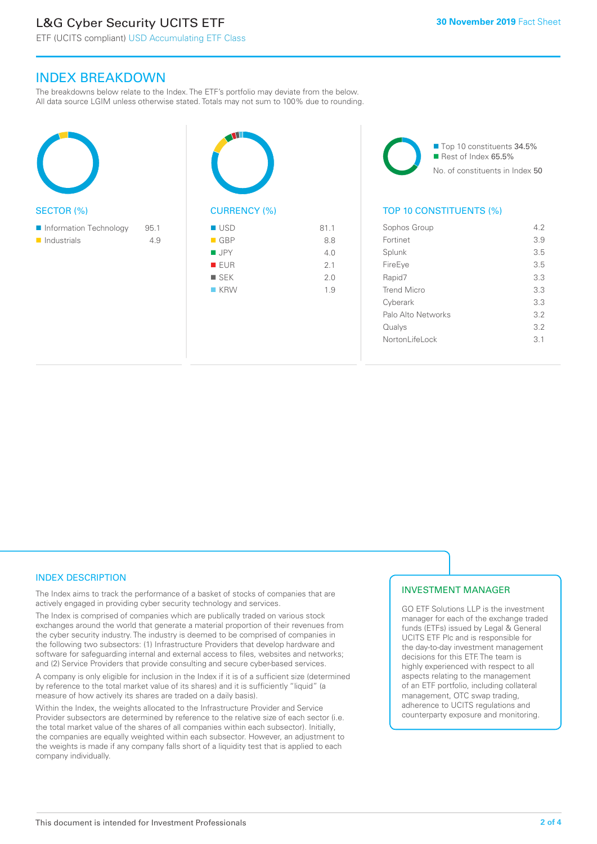## L&G Cyber Security UCITS ETF

ETF (UCITS compliant) USD Accumulating ETF Class

#### INDEX BREAKDOWN

The breakdowns below relate to the Index. The ETF's portfolio may deviate from the below. All data source LGIM unless otherwise stated. Totals may not sum to 100% due to rounding.

| <b>SECTOR (%)</b>                     |             | <b>CUF</b>                                  |
|---------------------------------------|-------------|---------------------------------------------|
| Information Technology<br>Industrials | 95.1<br>4.9 | US<br>GE<br>JP<br>$E$ El<br><b>SE</b><br>KF |



■ Top 10 constituents 34.5% Rest of Index 65.5% No. of constituents in Index 50

#### TOP 10 CONSTITUENTS (%)

| Sophos Group       | 4.2 |
|--------------------|-----|
| Fortinet           | 3.9 |
| Splunk             | 3.5 |
| FireEye            | 3.5 |
| Rapid7             | 3.3 |
| <b>Trend Micro</b> | 3.3 |
| Cyberark           | 3.3 |
| Palo Alto Networks | 3.2 |
| Qualys             | 3.2 |
| Nortonl ifel ock   | 3.1 |
|                    |     |

#### INDEX DESCRIPTION

The Index aims to track the performance of a basket of stocks of companies that are actively engaged in providing cyber security technology and services.

The Index is comprised of companies which are publically traded on various stock exchanges around the world that generate a material proportion of their revenues from the cyber security industry. The industry is deemed to be comprised of companies in the following two subsectors: (1) Infrastructure Providers that develop hardware and software for safeguarding internal and external access to files, websites and networks; and (2) Service Providers that provide consulting and secure cyber-based services.

A company is only eligible for inclusion in the Index if it is of a sufficient size (determined by reference to the total market value of its shares) and it is sufficiently "liquid" (a measure of how actively its shares are traded on a daily basis).

Within the Index, the weights allocated to the Infrastructure Provider and Service Provider subsectors are determined by reference to the relative size of each sector (i.e. the total market value of the shares of all companies within each subsector). Initially, the companies are equally weighted within each subsector. However, an adjustment to the weights is made if any company falls short of a liquidity test that is applied to each company individually.

#### INVESTMENT MANAGER

GO ETF Solutions LLP is the investment manager for each of the exchange traded funds (ETFs) issued by Legal & General UCITS ETF Plc and is responsible for the day-to-day investment management decisions for this ETF. The team is highly experienced with respect to all aspects relating to the management of an ETF portfolio, including collateral management, OTC swap trading, adherence to UCITS regulations and counterparty exposure and monitoring.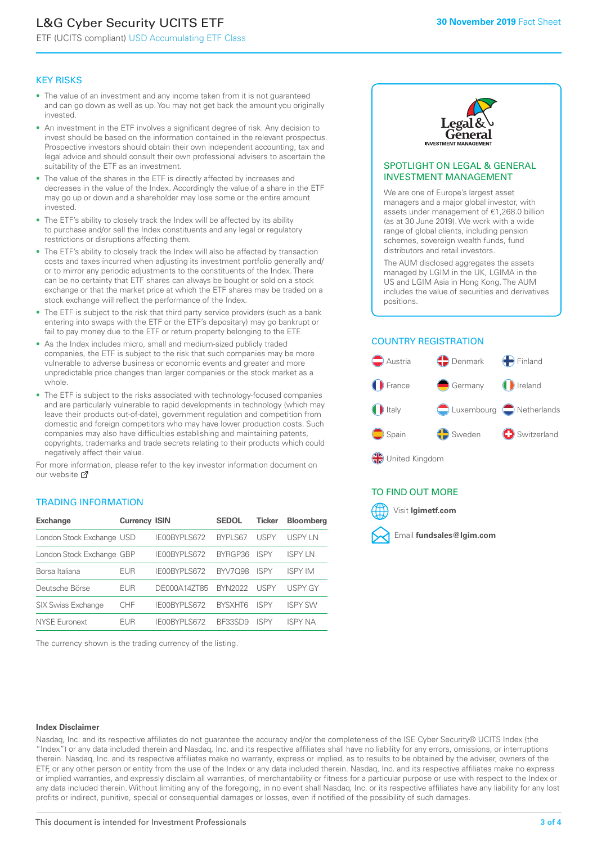# L&G Cyber Security UCITS ETF

ETF (UCITS compliant) USD Accumulating ETF Class

#### KEY RISKS

- The value of an investment and any income taken from it is not guaranteed and can go down as well as up. You may not get back the amount you originally invested.
- An investment in the ETF involves a significant degree of risk. Any decision to invest should be based on the information contained in the relevant prospectus. Prospective investors should obtain their own independent accounting, tax and legal advice and should consult their own professional advisers to ascertain the suitability of the ETF as an investment.
- The value of the shares in the ETF is directly affected by increases and decreases in the value of the Index. Accordingly the value of a share in the ETF may go up or down and a shareholder may lose some or the entire amount invested.
- The ETF's ability to closely track the Index will be affected by its ability to purchase and/or sell the Index constituents and any legal or regulatory restrictions or disruptions affecting them.
- The ETF's ability to closely track the Index will also be affected by transaction costs and taxes incurred when adjusting its investment portfolio generally and/ or to mirror any periodic adjustments to the constituents of the Index. There can be no certainty that ETF shares can always be bought or sold on a stock exchange or that the market price at which the ETF shares may be traded on a stock exchange will reflect the performance of the Index.
- The ETF is subject to the risk that third party service providers (such as a bank entering into swaps with the ETF or the ETF's depositary) may go bankrupt or fail to pay money due to the ETF or return property belonging to the ETF.
- As the Index includes micro, small and medium-sized publicly traded companies, the ETF is subject to the risk that such companies may be more vulnerable to adverse business or economic events and greater and more unpredictable price changes than larger companies or the stock market as a whole.
- The ETF is subject to the risks associated with technology-focused companies and are particularly vulnerable to rapid developments in technology (which may leave their products out-of-date), government regulation and competition from domestic and foreign competitors who may have lower production costs. Such companies may also have difficulties establishing and maintaining patents, copyrights, trademarks and trade secrets relating to their products which could negatively affect their value.

For more information, please refer to the key investor information document on our website Ø

#### TRADING INFORMATION

| <b>Exchange</b>           | <b>Currency ISIN</b> |              | <b>SEDOL</b>   | Ticker      | <b>Bloomberg</b> |
|---------------------------|----------------------|--------------|----------------|-------------|------------------|
| London Stock Exchange USD |                      | IE00BYPLS672 | <b>BYPLS67</b> | USPY        | <b>USPY IN</b>   |
| London Stock Exchange GBP |                      | IE00BYPLS672 | BYRGP36        | <b>ISPY</b> | <b>ISPY IN</b>   |
| Borsa Italiana            | EUR                  | IE00BYPLS672 | <b>BYV7098</b> | <b>ISPY</b> | <b>ISPY IM</b>   |
| Deutsche Börse            | EUR                  | DE000A14ZT85 | <b>BYN2022</b> | USPY        | <b>USPY GY</b>   |
| <b>SIX Swiss Exchange</b> | CHF                  | IE00BYPLS672 | <b>RYSXHT6</b> | <b>ISPY</b> | <b>ISPY SW</b>   |
| <b>NYSE Euronext</b>      | <b>FUR</b>           | IE00BYPLS672 | <b>BE33SD9</b> | <b>ISPY</b> | <b>ISPY NA</b>   |

The currency shown is the trading currency of the listing.



#### SPOTLIGHT ON LEGAL & GENERAL INVESTMENT MANAGEMENT

We are one of Europe's largest asset managers and a major global investor, with assets under management of €1,268.0 billion (as at 30 June 2019). We work with a wide range of global clients, including pension schemes, sovereign wealth funds, fund distributors and retail investors.

The AUM disclosed aggregates the assets managed by LGIM in the UK, LGIMA in the US and LGIM Asia in Hong Kong. The AUM includes the value of securities and derivatives positions.

#### COUNTRY REGISTRATION



#### TO FIND OUT MORE



#### **Index Disclaimer**

Nasdaq, Inc. and its respective affiliates do not guarantee the accuracy and/or the completeness of the ISE Cyber Security® UCITS Index (the "Index") or any data included therein and Nasdaq, Inc. and its respective affiliates shall have no liability for any errors, omissions, or interruptions therein. Nasdaq, Inc. and its respective affiliates make no warranty, express or implied, as to results to be obtained by the adviser, owners of the ETF, or any other person or entity from the use of the Index or any data included therein. Nasdaq, Inc. and its respective affiliates make no express or implied warranties, and expressly disclaim all warranties, of merchantability or fitness for a particular purpose or use with respect to the Index or any data included therein. Without limiting any of the foregoing, in no event shall Nasdaq, Inc. or its respective affiliates have any liability for any lost profits or indirect, punitive, special or consequential damages or losses, even if notified of the possibility of such damages.